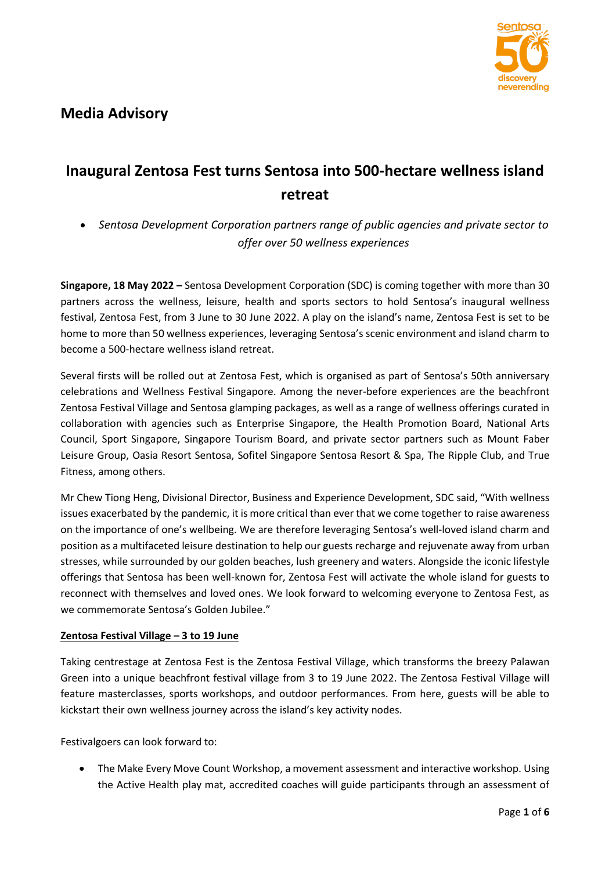

# **Inaugural Zentosa Fest turns Sentosa into 500-hectare wellness island retreat**

• *Sentosa Development Corporation partners range of public agencies and private sector to offer over 50 wellness experiences* 

**Singapore, 18 May 2022 –** Sentosa Development Corporation (SDC) is coming together with more than 30 partners across the wellness, leisure, health and sports sectors to hold Sentosa's inaugural wellness festival, Zentosa Fest, from 3 June to 30 June 2022. A play on the island's name, Zentosa Fest is set to be home to more than 50 wellness experiences, leveraging Sentosa's scenic environment and island charm to become a 500-hectare wellness island retreat.

Several firsts will be rolled out at Zentosa Fest, which is organised as part of Sentosa's 50th anniversary celebrations and Wellness Festival Singapore. Among the never-before experiences are the beachfront Zentosa Festival Village and Sentosa glamping packages, as well as a range of wellness offerings curated in collaboration with agencies such as Enterprise Singapore, the Health Promotion Board, National Arts Council, Sport Singapore, Singapore Tourism Board, and private sector partners such as Mount Faber Leisure Group, Oasia Resort Sentosa, Sofitel Singapore Sentosa Resort & Spa, The Ripple Club, and True Fitness, among others.

Mr Chew Tiong Heng, Divisional Director, Business and Experience Development, SDC said, "With wellness issues exacerbated by the pandemic, it is more critical than ever that we come together to raise awareness on the importance of one's wellbeing. We are therefore leveraging Sentosa's well-loved island charm and position as a multifaceted leisure destination to help our guests recharge and rejuvenate away from urban stresses, while surrounded by our golden beaches, lush greenery and waters. Alongside the iconic lifestyle offerings that Sentosa has been well-known for, Zentosa Fest will activate the whole island for guests to reconnect with themselves and loved ones. We look forward to welcoming everyone to Zentosa Fest, as we commemorate Sentosa's Golden Jubilee."

# **Zentosa Festival Village – 3 to 19 June**

Taking centrestage at Zentosa Fest is the Zentosa Festival Village, which transforms the breezy Palawan Green into a unique beachfront festival village from 3 to 19 June 2022. The Zentosa Festival Village will feature masterclasses, sports workshops, and outdoor performances. From here, guests will be able to kickstart their own wellness journey across the island's key activity nodes.

Festivalgoers can look forward to:

• The Make Every Move Count Workshop, a movement assessment and interactive workshop. Using the Active Health play mat, accredited coaches will guide participants through an assessment of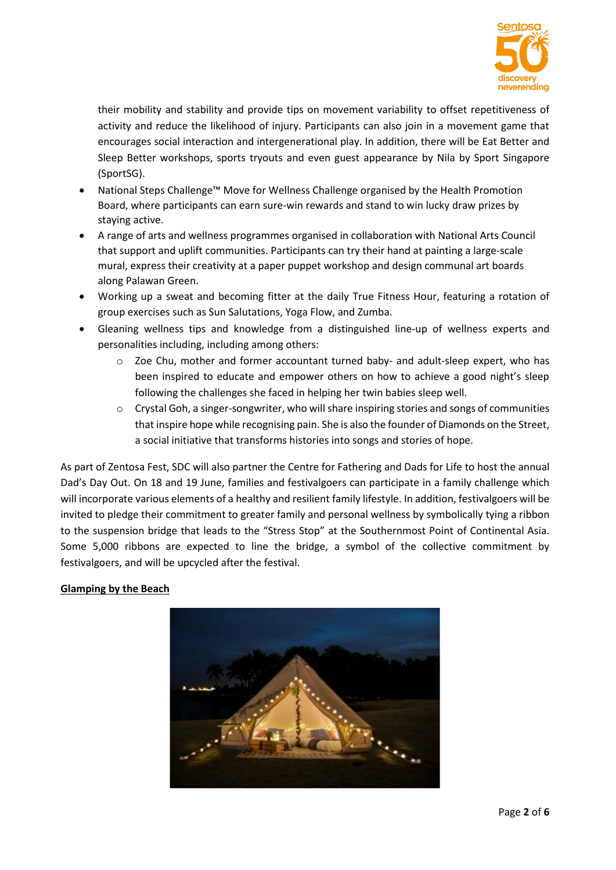

their mobility and stability and provide tips on movement variability to offset repetitiveness of activity and reduce the likelihood of injury. Participants can also join in a movement game that encourages social interaction and intergenerational play. In addition, there will be Eat Better and Sleep Better workshops, sports tryouts and even guest appearance by Nila by Sport Singapore (SportSG).

- National Steps Challenge™ Move for Wellness Challenge organised by the Health Promotion Board, where participants can earn sure-win rewards and stand to win lucky draw prizes by staying active.
- A range of arts and wellness programmes organised in collaboration with National Arts Council that support and uplift communities. Participants can try their hand at painting a large-scale mural, express their creativity at a paper puppet workshop and design communal art boards along Palawan Green.
- Working up a sweat and becoming fitter at the daily True Fitness Hour, featuring a rotation of group exercises such as Sun Salutations, Yoga Flow, and Zumba.
- Gleaning wellness tips and knowledge from a distinguished line-up of wellness experts and personalities including, including among others:
	- $\circ$  Zoe Chu, mother and former accountant turned baby- and adult-sleep expert, who has been inspired to educate and empower others on how to achieve a good night's sleep following the challenges she faced in helping her twin babies sleep well.
	- $\circ$  Crystal Goh, a singer-songwriter, who will share inspiring stories and songs of communities that inspire hope while recognising pain. She is also the founder of Diamonds on the Street, a social initiative that transforms histories into songs and stories of hope.

As part of Zentosa Fest, SDC will also partner the Centre for Fathering and Dads for Life to host the annual Dad's Day Out. On 18 and 19 June, families and festivalgoers can participate in a family challenge which will incorporate various elements of a healthy and resilient family lifestyle. In addition, festivalgoers will be invited to pledge their commitment to greater family and personal wellness by symbolically tying a ribbon to the suspension bridge that leads to the "Stress Stop" at the Southernmost Point of Continental Asia. Some 5,000 ribbons are expected to line the bridge, a symbol of the collective commitment by festivalgoers, and will be upcycled after the festival.

# **Glamping by the Beach**

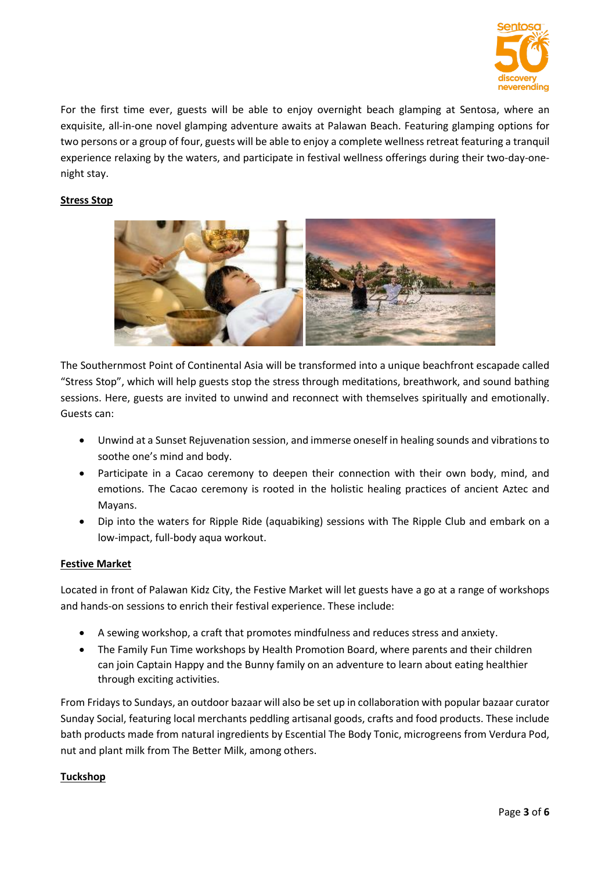

For the first time ever, guests will be able to enjoy overnight beach glamping at Sentosa, where an exquisite, all-in-one novel glamping adventure awaits at Palawan Beach. Featuring glamping options for two persons or a group of four, guests will be able to enjoy a complete wellness retreat featuring a tranquil experience relaxing by the waters, and participate in festival wellness offerings during their two-day-onenight stay.

## **Stress Stop**



The Southernmost Point of Continental Asia will be transformed into a unique beachfront escapade called "Stress Stop", which will help guests stop the stress through meditations, breathwork, and sound bathing sessions. Here, guests are invited to unwind and reconnect with themselves spiritually and emotionally. Guests can:

- Unwind at a Sunset Rejuvenation session, and immerse oneself in healing sounds and vibrations to soothe one's mind and body.
- Participate in a Cacao ceremony to deepen their connection with their own body, mind, and emotions. The Cacao ceremony is rooted in the holistic healing practices of ancient Aztec and Mayans.
- Dip into the waters for Ripple Ride (aquabiking) sessions with The Ripple Club and embark on a low-impact, full-body aqua workout.

## **Festive Market**

Located in front of Palawan Kidz City, the Festive Market will let guests have a go at a range of workshops and hands-on sessions to enrich their festival experience. These include:

- A sewing workshop, a craft that promotes mindfulness and reduces stress and anxiety.
- The Family Fun Time workshops by Health Promotion Board, where parents and their children can join Captain Happy and the Bunny family on an adventure to learn about eating healthier through exciting activities.

From Fridays to Sundays, an outdoor bazaar will also be set up in collaboration with popular bazaar curator Sunday Social, featuring local merchants peddling artisanal goods, crafts and food products. These include bath products made from natural ingredients by Escential The Body Tonic, microgreens from Verdura Pod, nut and plant milk from The Better Milk, among others.

## **Tuckshop**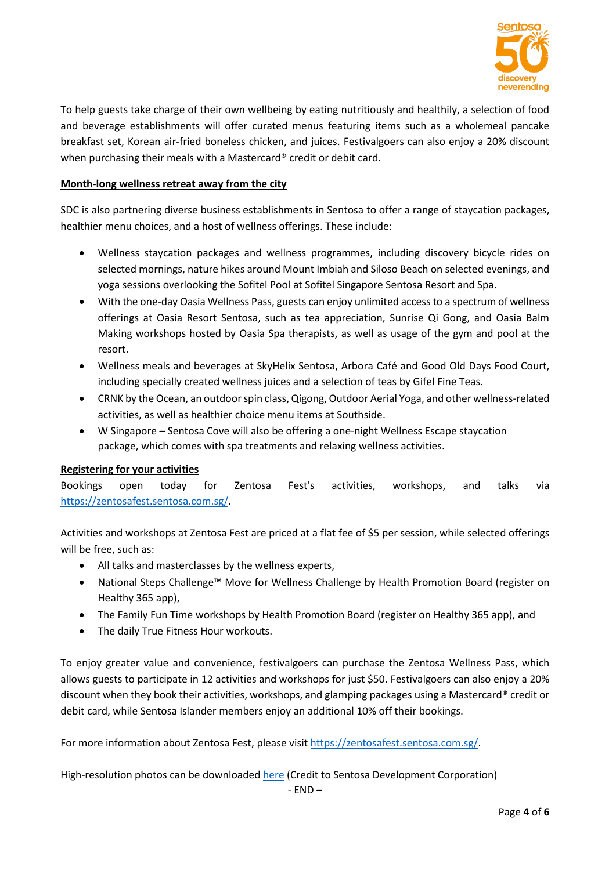

To help guests take charge of their own wellbeing by eating nutritiously and healthily, a selection of food and beverage establishments will offer curated menus featuring items such as a wholemeal pancake breakfast set, Korean air-fried boneless chicken, and juices. Festivalgoers can also enjoy a 20% discount when purchasing their meals with a Mastercard® credit or debit card.

## **Month-long wellness retreat away from the city**

SDC is also partnering diverse business establishments in Sentosa to offer a range of staycation packages, healthier menu choices, and a host of wellness offerings. These include:

- Wellness staycation packages and wellness programmes, including discovery bicycle rides on selected mornings, nature hikes around Mount Imbiah and Siloso Beach on selected evenings, and yoga sessions overlooking the Sofitel Pool at Sofitel Singapore Sentosa Resort and Spa.
- With the one-day Oasia Wellness Pass, guests can enjoy unlimited access to a spectrum of wellness offerings at Oasia Resort Sentosa, such as tea appreciation, Sunrise Qi Gong, and Oasia Balm Making workshops hosted by Oasia Spa therapists, as well as usage of the gym and pool at the resort.
- Wellness meals and beverages at SkyHelix Sentosa, Arbora Café and Good Old Days Food Court, including specially created wellness juices and a selection of teas by Gifel Fine Teas.
- CRNK by the Ocean, an outdoor spin class, Qigong, Outdoor Aerial Yoga, and other wellness-related activities, as well as healthier choice menu items at Southside.
- W Singapore Sentosa Cove will also be offering a one-night Wellness Escape staycation package, which comes with spa treatments and relaxing wellness activities.

## **Registering for your activities**

Bookings open today for Zentosa Fest's activities, workshops, and talks via [https://zentosafest.sentosa.com.sg/.](https://zentosafest.sentosa.com.sg/)

Activities and workshops at Zentosa Fest are priced at a flat fee of \$5 per session, while selected offerings will be free, such as:

- All talks and masterclasses by the wellness experts,
- National Steps Challenge™ Move for Wellness Challenge by Health Promotion Board (register on Healthy 365 app),
- The Family Fun Time workshops by Health Promotion Board (register on Healthy 365 app), and
- The daily True Fitness Hour workouts.

To enjoy greater value and convenience, festivalgoers can purchase the Zentosa Wellness Pass, which allows guests to participate in 12 activities and workshops for just \$50. Festivalgoers can also enjoy a 20% discount when they book their activities, workshops, and glamping packages using a Mastercard® credit or debit card, while Sentosa Islander members enjoy an additional 10% off their bookings.

For more information about Zentosa Fest, please visit [https://zentosafest.sentosa.com.sg/.](https://zentosafest.sentosa.com.sg/)

High-resolution photos can be downloaded [here](https://drive.google.com/drive/folders/1n24qQmrnpmGnk_Lxb5cmpeOtDvyWUAM2?usp=sharing) (Credit to Sentosa Development Corporation)

 $- FND -$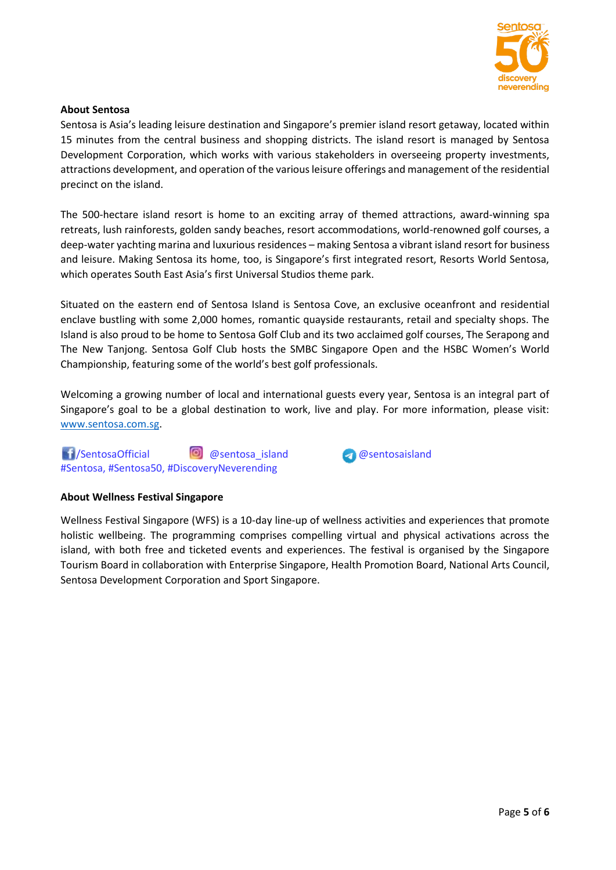

## **About Sentosa**

Sentosa is Asia's leading leisure destination and Singapore's premier island resort getaway, located within 15 minutes from the central business and shopping districts. The island resort is managed by Sentosa Development Corporation, which works with various stakeholders in overseeing property investments, attractions development, and operation of the various leisure offerings and management of the residential precinct on the island.

The 500-hectare island resort is home to an exciting array of themed attractions, award-winning spa retreats, lush rainforests, golden sandy beaches, resort accommodations, world-renowned golf courses, a deep-water yachting marina and luxurious residences – making Sentosa a vibrant island resort for business and leisure. Making Sentosa its home, too, is Singapore's first integrated resort, Resorts World Sentosa, which operates South East Asia's first Universal Studios theme park.

Situated on the eastern end of Sentosa Island is Sentosa Cove, an exclusive oceanfront and residential enclave bustling with some 2,000 homes, romantic quayside restaurants, retail and specialty shops. The Island is also proud to be home to Sentosa Golf Club and its two acclaimed golf courses, The Serapong and The New Tanjong. Sentosa Golf Club hosts the SMBC Singapore Open and the HSBC Women's World Championship, featuring some of the world's best golf professionals.

Welcoming a growing number of local and international guests every year, Sentosa is an integral part of Singapore's goal to be a global destination to work, live and play. For more information, please visit: [www.sentosa.com.sg.](http://www.sentosa.com.sg/)

1 SentosaOfficial **@** @sentosa\_island @sentosaisland #Sentosa, #Sentosa50, #DiscoveryNeverending



## **About Wellness Festival Singapore**

Wellness Festival Singapore (WFS) is a 10-day line-up of wellness activities and experiences that promote holistic wellbeing. The programming comprises compelling virtual and physical activations across the island, with both free and ticketed events and experiences. The festival is organised by the Singapore Tourism Board in collaboration with Enterprise Singapore, Health Promotion Board, National Arts Council, Sentosa Development Corporation and Sport Singapore.